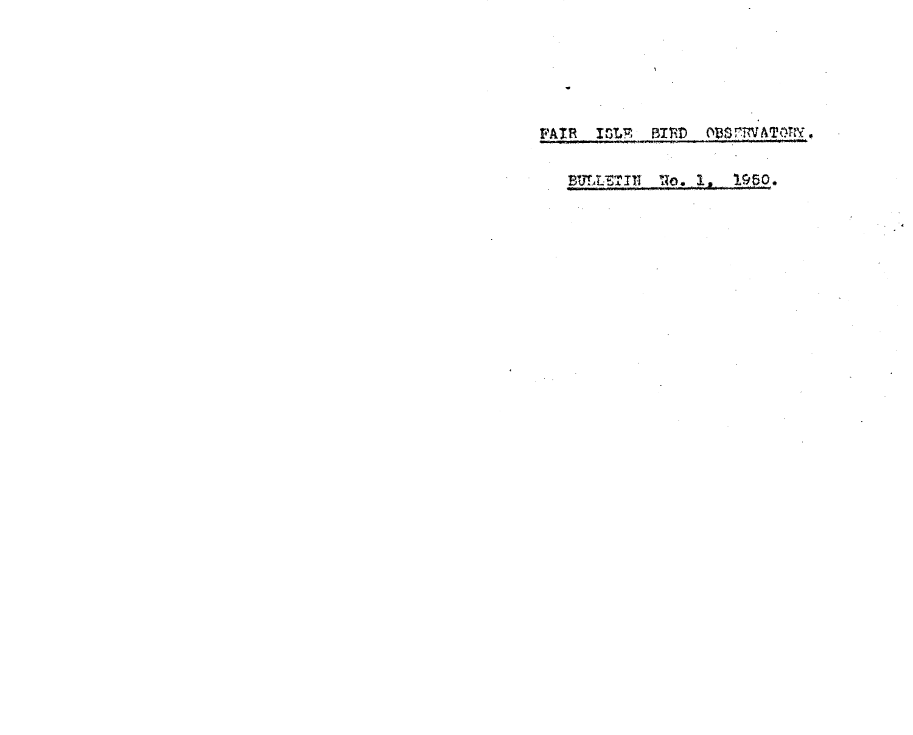### FAIR ISLE BIRD OBSERVATORY.

BULLETIN No. 1, 1950.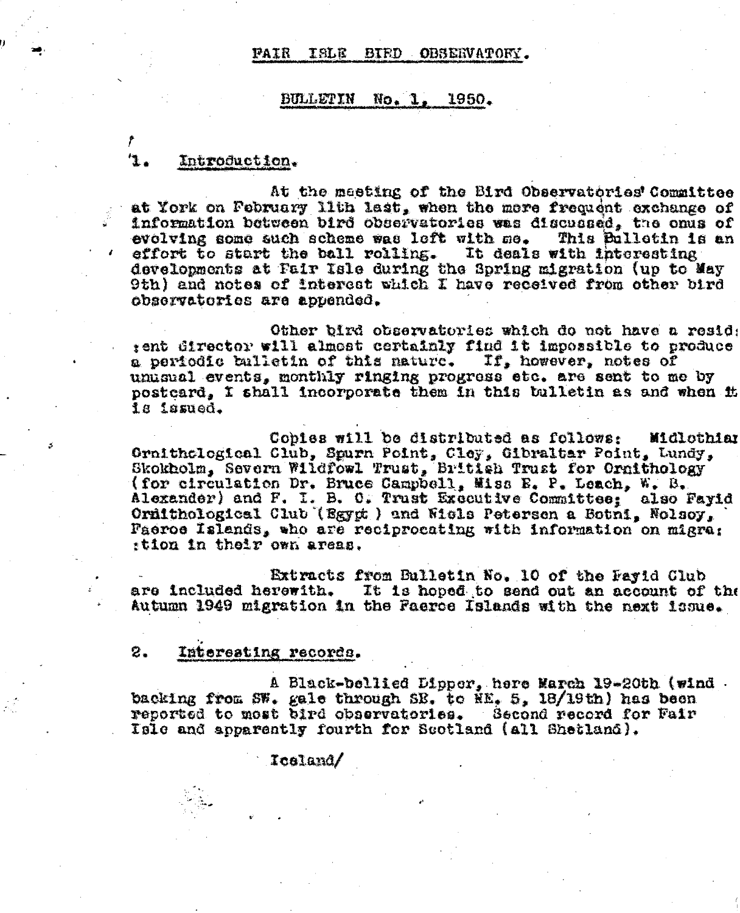#### PAIR ISLE BIED OBSEEVATORY.

#### 1950. BULLETIN  $No. 1.$

## Introduction.

At the meeting of the Bird Observatories' Committee at York on February 11th last, when the mere frequent exchange of information between bird observatories was discussed, the onus of evolving some such scheme was left with me. This Bullotin is an effort to start the ball rolling. It deals with interesting developments at Fair Isle during the Spring migration (up to May 9th) and notes of interest which I have received from other bird observatories are appended.

Other bird observatories which do not have a resid: tent director will almost certainly find it impossible to produce a periodic balletin of this nature. If, however, notes of unusual events, monthly ringing progress etc. are sent to me by postcard, I shall incorporate them in this tulletin as and when it 1s issued.

Copies will be distributed as follows: Midlothian Ornithclogical Club, Spurn Point, Cley, Gibraltar Point, Lundy, Skokholm, Severn Wildfowl Trust, British Trust for Ornithology (for circulation Dr. Bruce Campbell, Miss E. P. Leach, W. B. Alexander) and F. I. B. C. Trust Executive Committee: also Fayid Ornithological Club (Egypt) and Wisls Peterson a Botni, Nolsoy, Paeroe Islands, who are reciprocating with information on migra: ttion in their own areas.

Extracts from Bulletin No. 10 of the Payid Club are included herewith. It is hoped to send out an account of the Autumn 1949 migration in the Paeroe Islands with the next issue.

#### 2. Interesting records.

A Black-bellied Dipper, here March 19-20th (wind. backing from SW. gale through SE. to NE, 5, 18/19th) has been reported to most bird observatories. Second record for Fair Isle and apparently fourth for Scotland (all Shetland).

Iceland/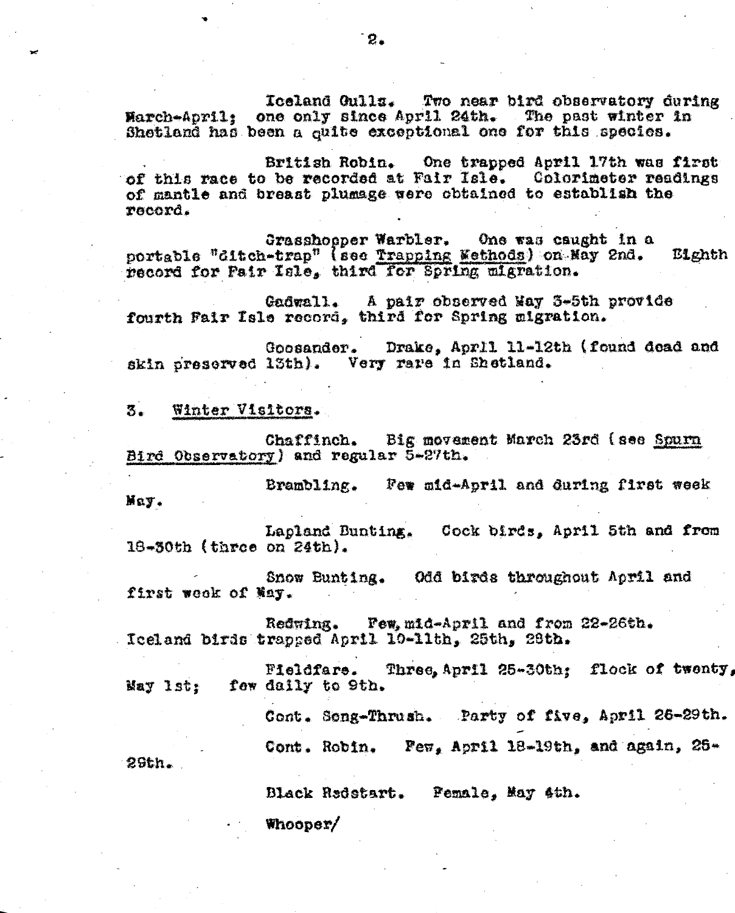Iceland Gulls. Two near bird observatory during March-April: one only since April 24th. The past winter in Shetland has been a guite exceptional one for this species.

British Robin. One trapped April 17th was first of this race to be recorded at Fair Isle. Colorimeter readings of mantle and breast plumage were obtained to establish the record.

Grasshopper Warbler. One was caught in a portable "ditch-trap" (see Trapping Wethods) on Nay 2nd. E1ghth record for Fair Isle, third for Spring migration.

Gadwall. A pair observed May 3-5th provide fourth Fair Isle record, third for Spring migration.

Drake, Aprll 11-12th (found dead and Goosander. skin preserved 13th). Very rare in Shetland.

Winter Visitors. 3.

Chaffinch. Big movement March 23rd (see Spurn Bird Observatory) and regular 5-27th.

Brambling. Few mid-April and during first week May.

Lapland Bunting. Cock birds, April 5th and from 18-30th (three on 24th).

Snow Bunting. Odd birds throughout April and first wook of May.

Redwing. Few, mid-April and from 22-26th. Iceland birds trapped April 10-11th, 25th, 28th.

Three, April 25-30th; flock of twenty, Fieldfare. May Ist: few daily to 9th.

Cont. Song-Thrush. Party of five, April 26-29th.

Cont. Robin. Few, April 18-19th, and again, 26-

26th.

Black Redetart. Pemale, May 4th.

Whooper/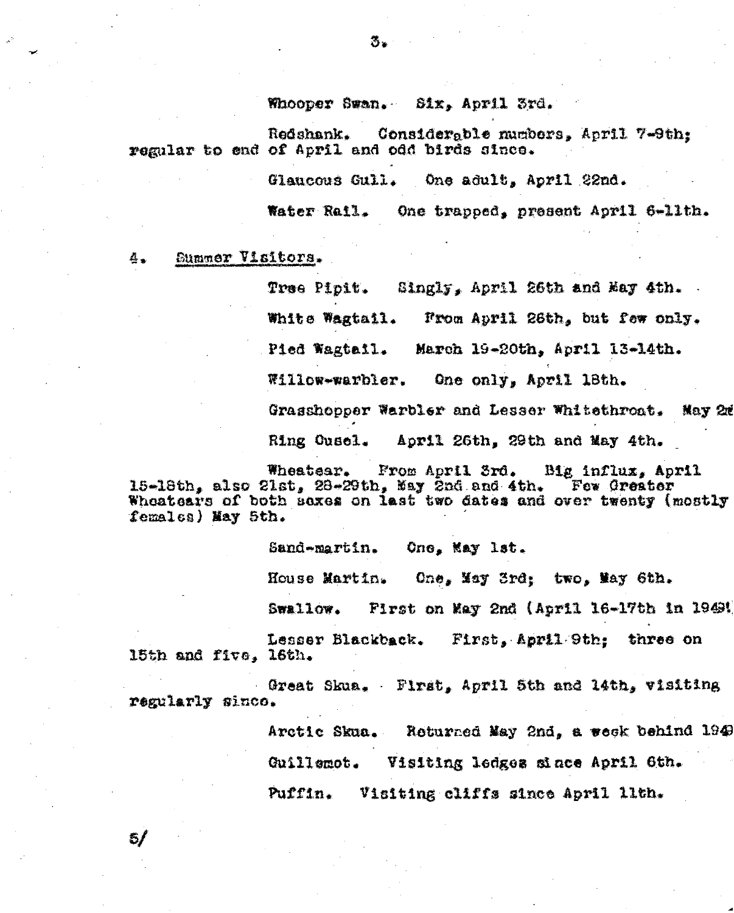Whooper Swan. Six, April 3rd.

Redshank. Considerable numbers, April 7-9th; regular to end of April and odd birds since.

Glaucous Gull. One adult, April 22nd.

Water Rail. One trapped, present April 6-11th.

Summer Visitors. ė.

 $5/$ 

Tree Pipit. Singly, April 26th and May 4th. White Wagtail. From April 26th, but few only. Pied Wagtail. March 19-20th, April 13-14th. Willow-warbler. One only, April 18th. Grasshopper Warbler and Lesser Whitethroat. Nay 20 April 26th, 29th and May 4th. Ring Cusel.

Wheatsar. From April 3rd. Big influx, April 15-18th, also 21st,  $28-29th$ , May 2nd and 4th. Few Greater Wheatsars of both saxes on last two dates and over twenty (mostly females) May 5th.

> Sand-martin. One, May lat.

One, May 3rd; two, May 6th. House Martin.

Swallow. First on May 2nd (April 16-17th in 1949)

Lesser Blackback. First, April 9th; three on 15th and five, 16th.

Great Skua. First, April 5th and 14th, visiting regularly since.

> Arctic Skua. Roturned May 2nd, a week behind 1949 Guillemot. Visiting ledges since April 6th. Puffin. Visiting cliffs since April llth.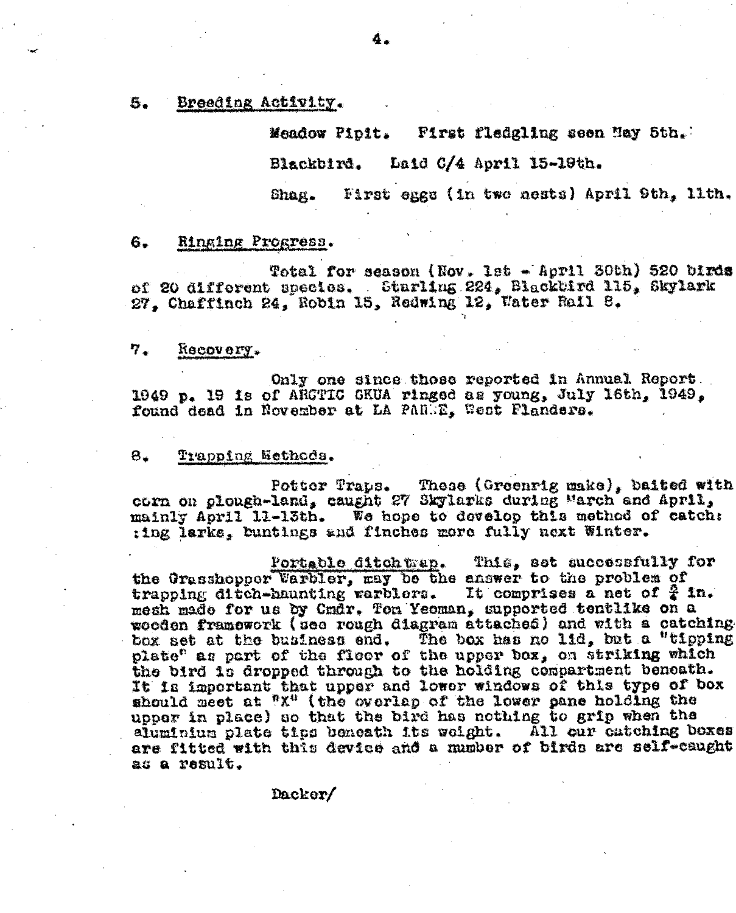#### Breeding Activity.

Meadow Pipit. First fledgling seen May 5th.

Blackbird. Laid C/4 April 15-19th.

First eggs (in two nests) April 9th, llth. Shag.

#### 6. Ringing Progress.

Total for season (Nov. 1st - April 30th) 520 birds of 20 different species. Starling 224, Blackbird 115, Skylark 27. Chaffinch 24. Robin 15, Redwing 12, Water Rail 8.

#### 7. hecovery.

Only one since those reported in Annual Report. 1949 p. 19 is of ARCTIC GKUA ringed as young, July 16th, 1949, found dead in November at LA PAREE, West Flanders.

### Trapping Nethods.  $8.$

Potter Traps. These (Greenrig make), baited with<br>corn on plough-land, caught 27 Skylarks during March and April, mainly April 11-13th. We hope to develop this method of catch: ting larke, buntings and finches more fully next Winter.

Portable ditch trap. This, set successfully for the Grasshopper Varbler, may be the answer to the problem of trapping ditch-haunting warblers. It comprises a net of  $\frac{3}{2}$  in. mesh made for us by Cmdr. Ton Yeoman, supported tentlike on a wooden framework (see rough diagram attached) and with a catching box set at the business end. The box has no lid, but a "tipping plate<sup>e</sup> as part of the floor of the upper box, on striking which the bird is dropped through to the holding compartment beneath. It is important that upper and lower windows of this type of box should meet at "X" (the overlap of the lower pane holding the upper in place) so that the bird has nothing to grip when the aluminium plate tips beneath its weight. All cur catching bexes are fitted with this device and a mumber of birds are self-caught as a result.

Dacker/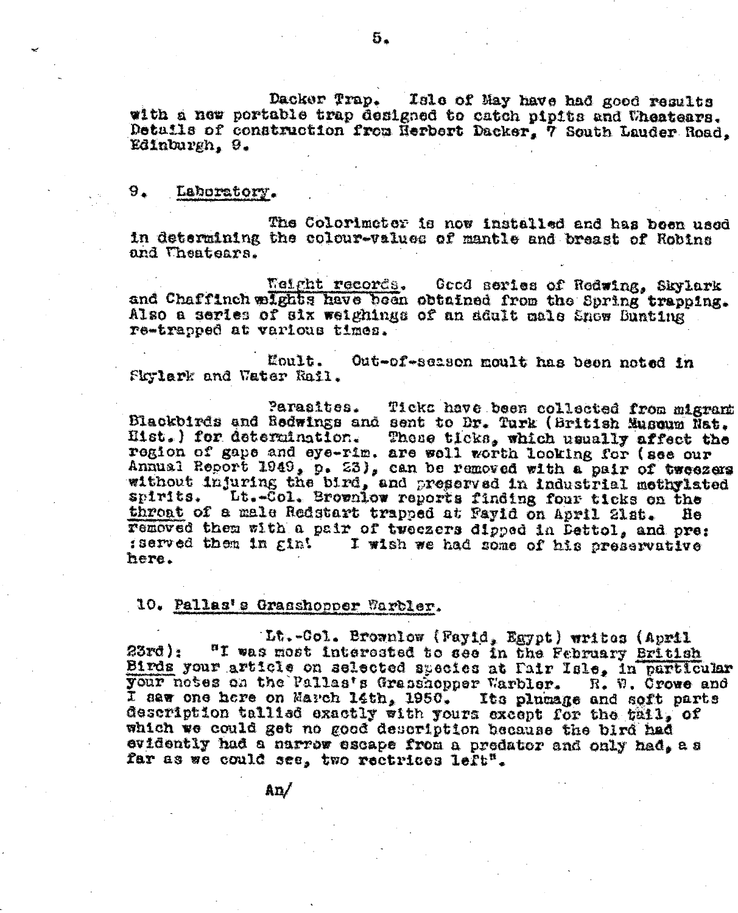Dacker Trap. Isle of May have had good results with a new portable trap designed to catch pipits and Uheatears. Details of construction from Herbert Dacker, 7 South Lauder Road, Edinburgh. 9.

### 9. Laboratory.

The Colorimeter is now installed and has been used In determining the colour-values of mantle and breast of Robins and Theatears.

Weight records. Good series of Redwing, Skylark and Chaffinch wights have been obtained from the Spring trapping. Also a series of six weighings of an adult male Snow Bunting re-trapped at various times.

Moult. Out-of-season moult has been noted in Fkylark and Water Rail.

Parasites. Ticks have been collected from migrant Blackbirds and Redwings and sent to Dr. Turk (British Museum Nat. Hist.) for determination. These ticks, which usually affect the region of gape and eye-rim. are well worth looking for (see our Annual Report 1949, p. 23), can be removed with a pair of tweezers without injuring the bird, and preserved in industrial methylated Lt.-Col. Brownlow reports finding four ticks on the spirits. throat of a male Redstart trapped at Fayid on April 21st. He removed then with a pair of two ezers dipped in Dettol, and pre: sserved them in gin! I wish we had some of his preservative here.

# 10. Pallas's Grasshopper Warbler.

 $\hbox{A} \mathbf{n}$ 

Lt.-Col. Brownlow (Fayid, Egypt) writes (April "I was most interested to see in the February British 23rq): Birds your article on selected species at Fair Isle, in particular your notes on the Pallas's Grasshopper Warbler. R. W. Crowe and I aaw one here on March 14th, 1950. Its plumage and soft parts description tallied exactly with yours except for the tail, of which we could get no good description because the bird had evidently had a narrow escape from a predator and only had, as far as we could see, two rectrices left<sup>"</sup>.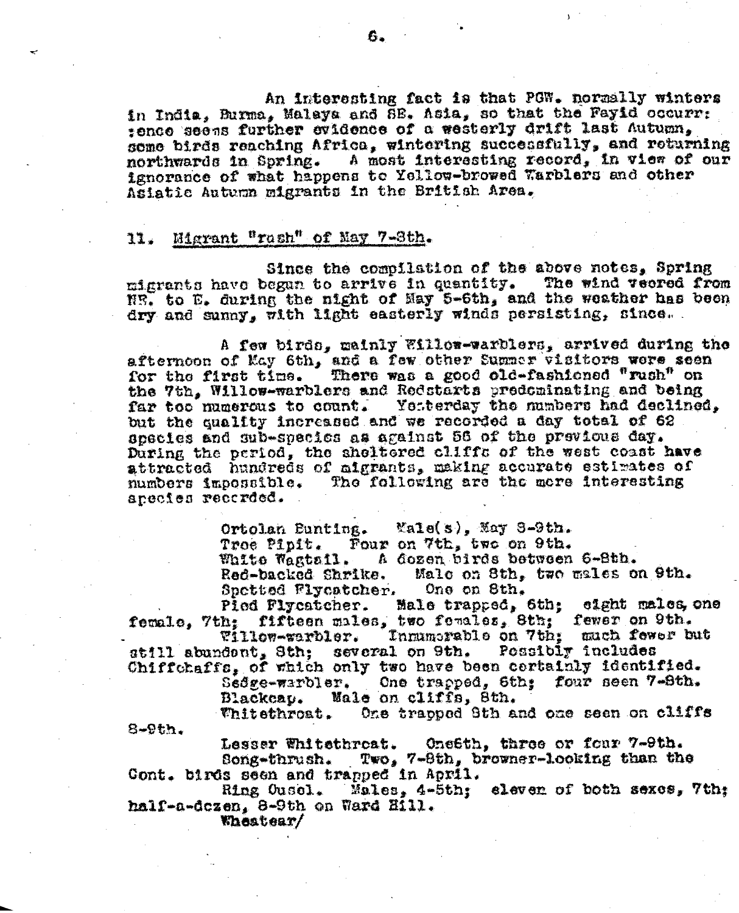An interesting fact is that PGW. normally winters in India. Burma. Malaya and SB. Asia, so that the Fayid occurr: tence seens further evidence of a westerly drift last Autumn. some birds reaching Africa, wintering successfully, and returning northwards in Spring. A most interesting record, in view of our ignorance of what happens to Yellow-browed Warblers and other Asiatic Autumn migrants in the British Area.

### 11. Migrant "rash" of May 7-3th.

Since the compilation of the above notes, Spring migrants have began to arrive in quantity. The wind vecred from NR. to E. during the night of May 5-6th, and the weather has been dry and sunny, with light easterly winds persisting, since.

A few birds, mainly Willow-warblers, arrived during the afternoon of May 6th, and a few other Summer visitors were seen<br>for the first time. There was a good old-fashioned "rush" on the 7th, Willow-warblers and Redstarts predeminating and being far too numerous to count. Yetterday the numbers had declined. but the quality increased and we recorded a day total of 62 species and sub-species as against 56 of the previous day. During the period, the sheltered cliffs of the west coast have attracted hundreds of aigrants, making accurate estimates of The following are the mere interesting numbers impossible. anecios recorded.

> Ortolan Bunting.  $\text{Var}(s)$ ,  $\text{Var}(S-9t)$ . Troe Pipit. Four on 7th, two on 9th. White Wagtail. A dozen birds between 6-8th. Red-backed Shrike. Male on 8th, two males on 9th. Spetted Flycatcher. One on Sth.

Male trapped, 6th; eight males, one Pied Flycatcher. female, 7th; fifteen males, two females, 8th; fewer on 9th.

Innumerable on 7th: much fewer but Willow-warbler. atill abundont, 3th; several on 9th. Possibir includes Chiffchaffs, of which only two have been certainly identified.

Sedge-warbler. One trapped, 6th; four seen 7-8th. Male on cliffs, 8th. Blackeap.

One trapped Sth and one seen on cliffs **Thitethroat.** 

Lesser Whitethreat. One6th, three or four 7-9th. Song-thrush. Two, 7-8th, browner-looking than the Cont. birds seen and trapped in April.

Ring Ousel. Males, 4-5th; eleven of both sexes, 7th; half-a-dezen, 8-9th on Ward Hill.

Wheatear/

 $8-9th.$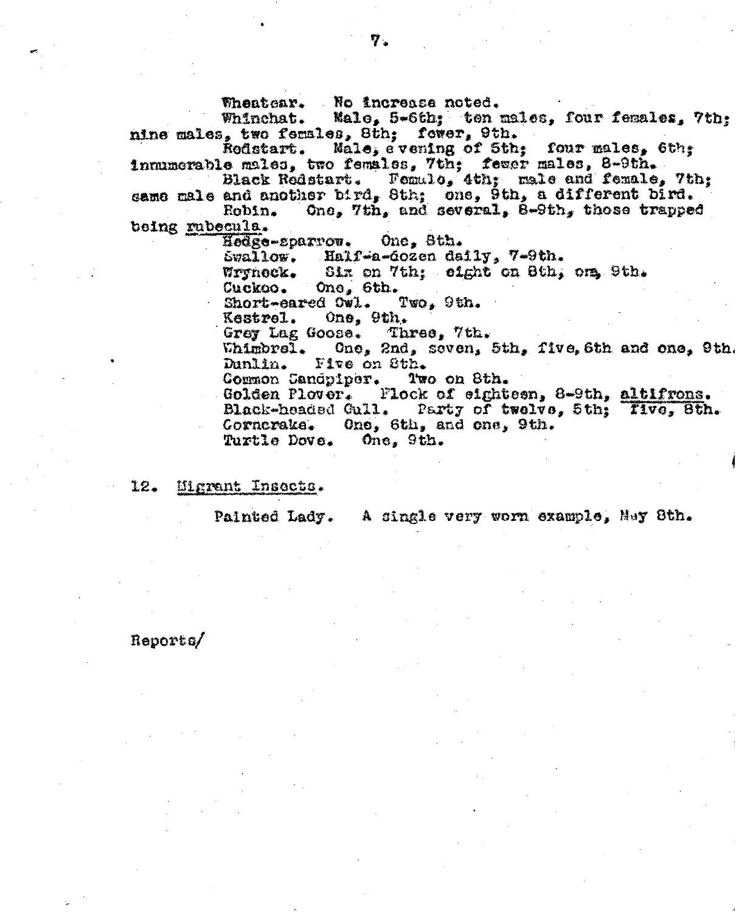Whentear. No increase noted.

Male, 5-6th; ten males, four females, 7th; Whinchat. nine males, two females, 8th; fewer, 9th.

Rodstart. Male, evening of 5th; four males, 6th; inmumerable males, two females, 7th; fewer males, 8-9th.

Black Redstart. Femalo, 4th; male and female, 7th; same male and another bird, 8th; one, 9th, a different bird. One, 7th, and several, 8-9th, those trapped Robin.

being rubecula.

Hodge-sparrow. One, Sth.

Swallow. Half-a-dozen daily, 7-9th.

Six on 7th; eight on 8th, one 9th. Wrynock.

Cuckoo. One, 6th.

Short-eared Owl.  $Two_s$  9th.

One, 9th. Kestrel.

Grey Lag Goose. Three, 7th.

Whimbrel. One, 2nd, seven, 5th, five, 6th and one, 9th. Dunlin. Five on Sth.

Common Candpiper. Two on 8th.

Golden Plover. Flock of eighteen, 8-9th, altifrons. Black-headed Gull. Party of twelve, 5th; Tive, 8th. Corneraka. One, 6th, and one, 9th. Turtle Dove.  $0$ ne, 9th.

Migrant Insects.  $12.$ 

Painted Lady. A single very worn example, May 8th.

### Reports/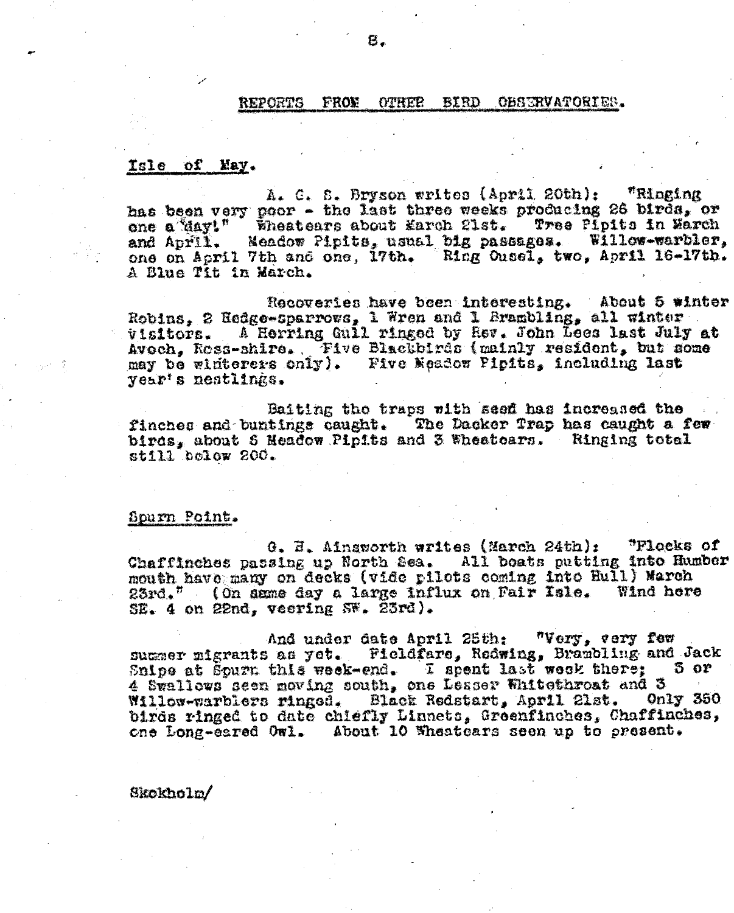#### **REPORTS FRON OTHER** BIRD OBSERVATORIES.

### Isle of May.

A. C. S. Bryson writes (April 20th): "Ringing has been very poor - the last three weeks producing 26 birds, or one a May!" Wheatears about March 21st. Tree Pipits in March and April. Meadow Pipits, usual big passages. Willow-warbler, one on April 7th and one, 17th. Ring Ousel, two, April 16-17th. A Blue Tit in March.

Recoveries have been interesting. About 5 winter Robins, 2 Redge-sparrows, 1 Wren and 1 Brambling, all winter visitors. A Herring Gull ringed by Rev. John Lees last July at Avoch, Ross-shire. Five Blackbirds (mainly resident, but some may be winterers only). Five Meadow Pipits, including last vear's nestlings.

Baiting the traps with seed has increased the finches and buntings caught. The Dacker Trap has caught a few birds, about 5 Headow Pipits and 3 Wheatears. Ringing total still below 200.

### Spurn Point.

G. H. Ainsworth writes (March 24th): "Flocks of Chaffinches passing up North Sea. All boats putting into Humber mouth have many on decks (vide pilots coming into Hull) March 23rd." (On same day a large influx on Fair Isle. Wind here SE. 4 on 22nd, veering SW. 23rd).

And under date April 25th: "Very, very few summer migrants as yet. Fieldfare, Redwing, Brambling and Jack Snipe at Spurn this week-end. I spent last week there;  $5$  or 4 Swallows seen moving south, one Leaser Whitethroat and 3 Willow-warblers ringed. Black Redstart, April 21st. Only 350 birds ringed to date chiefly Linnets, Greenfinches, Chaffinches, one Long-earsd Owl. About 10 Wheatcars seen up to present.

Skokholm/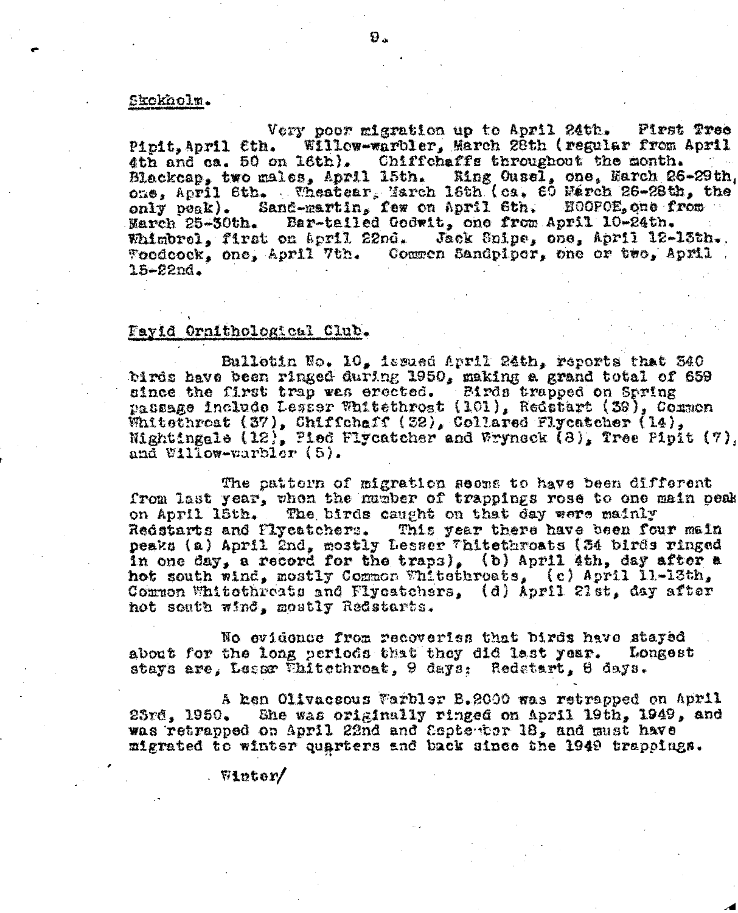### Skokholm.

Very poor migration up to April 24th. Pirst Tree Willow-warbler, March 28th (regular from April Pipit.April Cth. 4th and ca. 50 on 16th). Chiffchaffs throughout the month. Blackcap, two males, April 15th. Eing Ousel, one, Earch 26-29th, one, April 6th. Wheatear, March 16th (ca. 60 Warch 26-28th, the only peak). Sand-martin, few on April 6th. HOOPOE, one from Bar-tailed Godwit, one from April 10-24th. March 25-30th. Jack Snipe, one, April 12-13th. Whimbrel, first on april 22nd. Toodcock, one, April 7th. Common Sandpipor, one or two, April.  $15 - 22nd.$ 

### Fayid Ornithological Club.

Bulletin No. 10, issued April 24th, reports that 540 birds have been ringed during 1950, making a grand total of 659 since the first trap was erected. Birds trapped on Spring passage include Lesser Whitethrost (101), Redstart (39), Common Whitethroat (37), Chiffchaff (32), Collared Flycatcher (14), Nightingale (12), Pied Flycatcher and Wryneck (8), Tree Pipit (7). and  $V11$ low-warbler  $(5)$ .

The pattorn of migration seems to have been different from last year, when the mumber of trappings rose to one main peak on April 15th. The birds caught on that day were mainly Redstarts and Plycatchers. This year there have been four main peaks (a) April 2nd, mostly Lesser Whitethroats (34 birds ringed in one day, a record for the traps), (b) April 4th, day after a hot south wind, mostly Common Whitethroats, (c) April 11.-13th, Common Whitethreats and Flycatchers, (d) April 21st, day after not south wind, mostly Redstarts.

No evidence from recoveriss that birds have stayed about for the long periods that they did last year. Longest stays are, Lessr Whitethroat, 9 days: Redstart, 6 days.

A hen Olivaceous Warbler B.2000 was retrapped on April She was originally ringed on April 19th, 1949, and  $25r6, 1950,$ was retrapped on April 22nd and September 18, and must have migrated to winter quarters and back since the 1949 trappings.

 $\sqrt{51}$